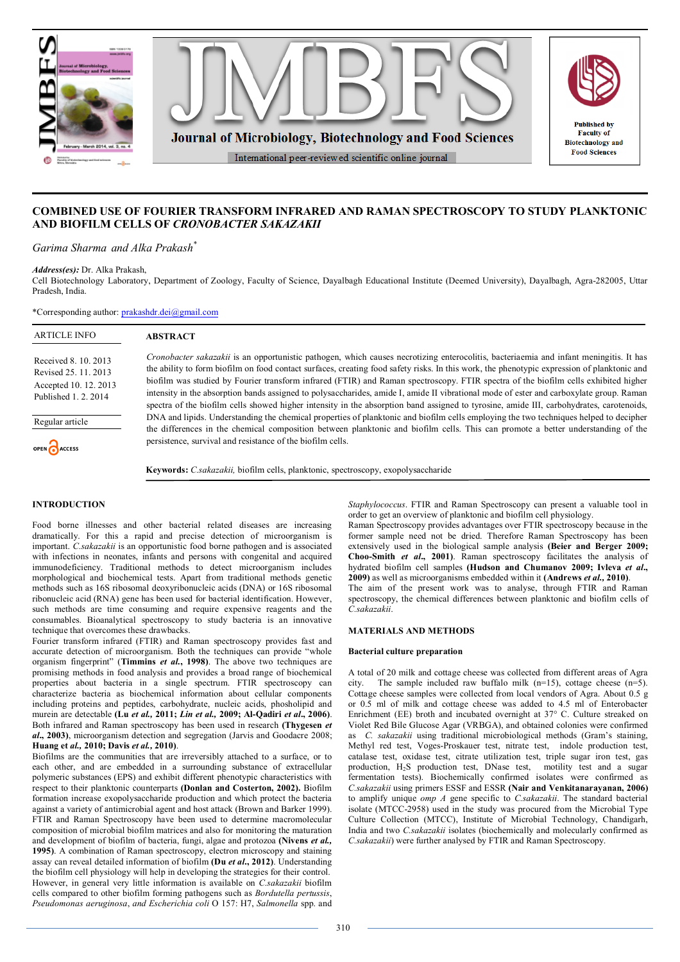





*Garima Sharma and Alka Prakash\**

*Address(es):* Dr. Alka Prakash,

Cell Biotechnology Laboratory, Department of Zoology, Faculty of Science, Dayalbagh Educational Institute (Deemed University), Dayalbagh, Agra-282005, Uttar Pradesh, India.

\*Corresponding author: prakashdr.dei@gmail.com

| <b>ARTICLE INFO</b>                                                                                                              | <b>ABSTRACT</b>                                                                                                                                                                                                                                                                                                                                                                                                                                                                                                                                                                                                                                                                                                                                                                                                                                                                                                                                                                                                                                                       |  |
|----------------------------------------------------------------------------------------------------------------------------------|-----------------------------------------------------------------------------------------------------------------------------------------------------------------------------------------------------------------------------------------------------------------------------------------------------------------------------------------------------------------------------------------------------------------------------------------------------------------------------------------------------------------------------------------------------------------------------------------------------------------------------------------------------------------------------------------------------------------------------------------------------------------------------------------------------------------------------------------------------------------------------------------------------------------------------------------------------------------------------------------------------------------------------------------------------------------------|--|
| Received 8, 10, 2013<br>Revised 25, 11, 2013<br>Accepted 10, 12, 2013<br>Published 1, 2, 2014<br>Regular article<br>OPEN CACCESS | <i>Cronobacter sakazakii</i> is an opportunistic pathogen, which causes necrotizing enterocolitis, bacteriaemia and infant meningitis. It has<br>the ability to form biofilm on food contact surfaces, creating food safety risks. In this work, the phenotypic expression of planktonic and<br>biofilm was studied by Fourier transform infrared (FTIR) and Raman spectroscopy. FTIR spectra of the biofilm cells exhibited higher<br>intensity in the absorption bands assigned to polysaccharides, amide I, amide II vibrational mode of ester and carboxylate group. Raman<br>spectra of the biofilm cells showed higher intensity in the absorption band assigned to tyrosine, amide III, carbohydrates, carotenoids,<br>DNA and lipids. Understanding the chemical properties of planktonic and biofilm cells employing the two techniques helped to decipher<br>the differences in the chemical composition between planktonic and biofilm cells. This can promote a better understanding of the<br>persistence, survival and resistance of the biofilm cells. |  |
|                                                                                                                                  | Keywords: C.sakazakii, biofilm cells, planktonic, spectroscopy, exopolysaccharide                                                                                                                                                                                                                                                                                                                                                                                                                                                                                                                                                                                                                                                                                                                                                                                                                                                                                                                                                                                     |  |
| <b>INTRODUCTION</b>                                                                                                              | <i>Staphylococcus.</i> FTIR and Raman Spectroscopy can present a valuable tool in                                                                                                                                                                                                                                                                                                                                                                                                                                                                                                                                                                                                                                                                                                                                                                                                                                                                                                                                                                                     |  |

# Food borne illnesses and other bacterial related diseases are increasing dramatically. For this a rapid and precise detection of microorganism is important. *C.sakazakii* is an opportunistic food borne pathogen and is associated with infections in neonates, infants and persons with congenital and acquired immunodeficiency. Traditional methods to detect microorganism includes morphological and biochemical tests. Apart from traditional methods genetic

methods such as 16S ribosomal deoxyribonucleic acids (DNA) or 16S ribosomal ribonucleic acid (RNA) gene has been used for bacterial identification. However, such methods are time consuming and require expensive reagents and the consumables. Bioanalytical spectroscopy to study bacteria is an innovative technique that overcomes these drawbacks.

Fourier transform infrared (FTIR) and Raman spectroscopy provides fast and accurate detection of microorganism. Both the techniques can provide "whole organism fingerprint" (**Timmins** *et al.***, 1998)**. The above two techniques are promising methods in food analysis and provides a broad range of biochemical properties about bacteria in a single spectrum. FTIR spectroscopy can characterize bacteria as biochemical information about cellular components including proteins and peptides, carbohydrate, nucleic acids, phosholipid and murein are detectable **(Lu** *et al.,* **2011;** *Lin et al.,* **2009; Al-Qadiri** *et al***., 2006)**. Both infrared and Raman spectroscopy has been used in research **(Thygesen** *et al***., 2003)**, microorganism detection and segregation (Jarvis and Goodacre 2008; **Huang et** *al.,* **2010; Davis** *et al.,* **2010)**.

Biofilms are the communities that are irreversibly attached to a surface, or to each other, and are embedded in a surrounding substance of extracellular polymeric substances (EPS) and exhibit different phenotypic characteristics with respect to their planktonic counterparts **(Donlan and Costerton, 2002).** Biofilm formation increase exopolysaccharide production and which protect the bacteria against a variety of antimicrobial agent and host attack (Brown and Barker 1999). FTIR and Raman Spectroscopy have been used to determine macromolecular composition of microbial biofilm matrices and also for monitoring the maturation and development of biofilm of bacteria, fungi, algae and protozoa **(Nivens** *et al.,*  **1995)**. A combination of Raman spectroscopy, electron microscopy and staining assay can reveal detailed information of biofilm **(Du** *et al***., 2012)**. Understanding the biofilm cell physiology will help in developing the strategies for their control. However, in general very little information is available on *C.sakazakii* biofilm cells compared to other biofilm forming pathogens such as *Bordutella pertussis*, *Pseudomonas aeruginosa*, *and Escherichia coli* O 157: H7, *Salmonella* spp. and

*Staphylococcus*. FTIR and Raman Spectroscopy can present a valuable tool in order to get an overview of planktonic and biofilm cell physiology.

**Dublished by Faculty of** 

**Biotechnology and Food Sciences** 

Raman Spectroscopy provides advantages over FTIR spectroscopy because in the former sample need not be dried. Therefore Raman Spectroscopy has been extensively used in the biological sample analysis **(Beier and Berger 2009; Choo-Smith** *et al***., 2001)**. Raman spectroscopy facilitates the analysis of hydrated biofilm cell samples **(Hudson and Chumanov 2009; Ivleva** *et al***., 2009)** as well as microorganisms embedded within it **(Andrews** *et al.,* **2010)**. The aim of the present work was to analyse, through FTIR and Raman spectroscopy, the chemical differences between planktonic and biofilm cells of *C.sakazakii*.

# **MATERIALS AND METHODS**

# **Bacterial culture preparation**

A total of 20 milk and cottage cheese was collected from different areas of Agra city. The sample included raw buffalo milk  $(n=15)$ , cottage cheese  $(n=5)$ . Cottage cheese samples were collected from local vendors of Agra. About 0.5 g or 0.5 ml of milk and cottage cheese was added to 4.5 ml of Enterobacter Enrichment (EE) broth and incubated overnight at 37° C. Culture streaked on Violet Red Bile Glucose Agar (VRBGA), and obtained colonies were confirmed as *C. sakazakii* using traditional microbiological methods (Gram's staining, Methyl red test, Voges-Proskauer test, nitrate test, indole production test, catalase test, oxidase test, citrate utilization test, triple sugar iron test, gas production, H<sub>2</sub>S production test, DNase test, motility test and a sugar fermentation tests). Biochemically confirmed isolates were confirmed as *C.sakazakii* using primers ESSF and ESSR **(Nair and Venkitanarayanan, 2006)** to amplify unique *omp A* gene specific to *C.sakazakii*. The standard bacterial isolate (MTCC-2958) used in the study was procured from the Microbial Type Culture Collection (MTCC), Institute of Microbial Technology, Chandigarh, India and two *C.sakazakii* isolates (biochemically and molecularly confirmed as *C.sakazakii*) were further analysed by FTIR and Raman Spectroscopy.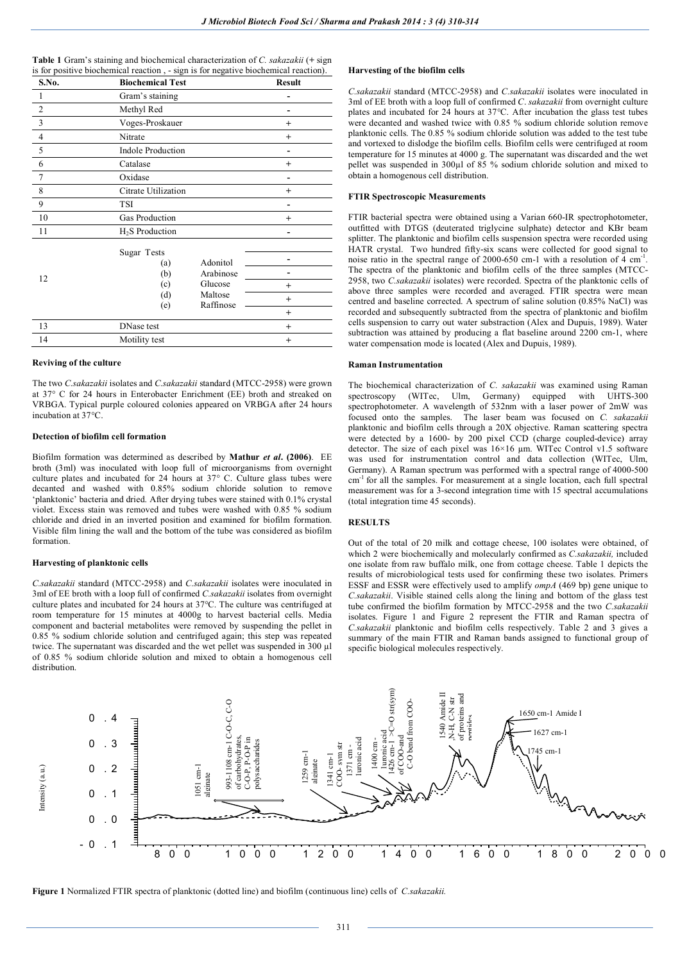| <b>Table 1</b> Gram's staining and biochemical characterization of C. sakazakii (+ sign |  |
|-----------------------------------------------------------------------------------------|--|
| is for positive biochemical reaction, - sign is for negative biochemical reaction).     |  |

| S.No.          | <b>Biochemical Test</b>   |                       | <b>Result</b> |
|----------------|---------------------------|-----------------------|---------------|
| 1              | Gram's staining           |                       |               |
| $\overline{2}$ | Methyl Red                |                       |               |
| $\overline{3}$ | Voges-Proskauer           |                       | $^{+}$        |
| $\overline{4}$ | Nitrate                   |                       | $^{+}$        |
| 5              | <b>Indole Production</b>  |                       |               |
| 6              | Catalase                  |                       | $^{+}$        |
| 7              | Oxidase                   |                       |               |
| 8              | Citrate Utilization       |                       | $\ddot{}$     |
| 9              | TSI                       |                       |               |
| 10             | Gas Production            |                       | $\ddot{}$     |
| 11             | $H2S$ Production          |                       |               |
| 12             | Sugar Tests<br>(a)<br>(b) | Adonitol<br>Arabinose |               |
|                | (c)                       | Glucose               | $^{+}$        |
|                | (d)                       | Maltose<br>Raffinose  | $^{+}$        |
|                | (e)                       |                       | $^{+}$        |
| 13             | DNase test                |                       | $^{+}$        |
| 14             | Motility test             |                       | $\ddot{}$     |
|                |                           |                       |               |

# **Reviving of the culture**

The two *C.sakazakii* isolates and *C.sakazakii* standard (MTCC-2958) were grown at 37° C for 24 hours in Enterobacter Enrichment (EE) broth and streaked on VRBGA. Typical purple coloured colonies appeared on VRBGA after 24 hours incubation at 37°C.

# **Detection of biofilm cell formation**

Biofilm formation was determined as described by **Mathur** *et al***. (2006)**. EE broth (3ml) was inoculated with loop full of microorganisms from overnight culture plates and incubated for 24 hours at 37° C. Culture glass tubes were decanted and washed with 0.85% sodium chloride solution to remove 'planktonic' bacteria and dried. After drying tubes were stained with 0.1% crystal violet. Excess stain was removed and tubes were washed with 0.85 % sodium chloride and dried in an inverted position and examined for biofilm formation. Visible film lining the wall and the bottom of the tube was considered as biofilm formation.

#### **Harvesting of planktonic cells**

*C.sakazakii* standard (MTCC-2958) and *C.sakazakii* isolates were inoculated in 3ml of EE broth with a loop full of confirmed *C.sakazakii* isolates from overnight culture plates and incubated for 24 hours at 37°C. The culture was centrifuged at room temperature for 15 minutes at 4000g to harvest bacterial cells. Media component and bacterial metabolites were removed by suspending the pellet in 0.85 % sodium chloride solution and centrifuged again; this step was repeated twice. The supernatant was discarded and the wet pellet was suspended in 300 µl of 0.85 % sodium chloride solution and mixed to obtain a homogenous cell distribution.

## **Harvesting of the biofilm cells**

*C.sakazakii* standard (MTCC-2958) and *C.sakazakii* isolates were inoculated in 3ml of EE broth with a loop full of confirmed *C*. *sakazakii* from overnight culture plates and incubated for  $24$  hours at 37 $^{\circ}$ C. After incubation the glass test tubes were decanted and washed twice with 0.85 % sodium chloride solution remove planktonic cells. The 0.85 % sodium chloride solution was added to the test tube and vortexed to dislodge the biofilm cells. Biofilm cells were centrifuged at room temperature for 15 minutes at 4000 g. The supernatant was discarded and the wet pellet was suspended in 300µl of 85 % sodium chloride solution and mixed to obtain a homogenous cell distribution.

# **FTIR Spectroscopic Measurements**

FTIR bacterial spectra were obtained using a Varian 660-IR spectrophotometer, outfitted with DTGS (deuterated triglycine sulphate) detector and KBr beam splitter. The planktonic and biofilm cells suspension spectra were recorded using HATR crystal. Two hundred fifty-six scans were collected for good signal to noise ratio in the spectral range of 2000-650 cm-1 with a resolution of  $\overline{4}$  cm<sup>-1</sup>. The spectra of the planktonic and biofilm cells of the three samples (MTCC-2958, two *C.sakazakii* isolates) were recorded. Spectra of the planktonic cells of above three samples were recorded and averaged. FTIR spectra were mean centred and baseline corrected. A spectrum of saline solution (0.85% NaCl) was recorded and subsequently subtracted from the spectra of planktonic and biofilm cells suspension to carry out water substraction (Alex and Dupuis, 1989). Water subtraction was attained by producing a flat baseline around 2200 cm-1, where water compensation mode is located (Alex and Dupuis, 1989).

#### **Raman Instrumentation**

The biochemical characterization of *C. sakazakii* was examined using Raman spectroscopy (WITec, Ulm, Germany) equipped with UHTS-300 spectrophotometer. A wavelength of 532nm with a laser power of 2mW was focused onto the samples. The laser beam was focused on *C. sakazakii* planktonic and biofilm cells through a 20X objective. Raman scattering spectra were detected by a 1600- by 200 pixel CCD (charge coupled-device) array detector. The size of each pixel was 16×16 µm. WITec Control v1.5 software was used for instrumentation control and data collection (WITec, Ulm, Germany). A Raman spectrum was performed with a spectral range of 4000-500 cm<sup>-1</sup> for all the samples. For measurement at a single location, each full spectral measurement was for a 3-second integration time with 15 spectral accumulations (total integration time 45 seconds).

# **RESULTS**

Out of the total of 20 milk and cottage cheese, 100 isolates were obtained, of which 2 were biochemically and molecularly confirmed as *C.sakazakii,* included one isolate from raw buffalo milk, one from cottage cheese. Table 1 depicts the results of microbiological tests used for confirming these two isolates. Primers ESSF and ESSR were effectively used to amplify *ompA* (469 bp) gene unique to *C.sakazakii*. Visible stained cells along the lining and bottom of the glass test tube confirmed the biofilm formation by MTCC-2958 and the two *C.sakazakii*  isolates. Figure 1 and Figure 2 represent the FTIR and Raman spectra of *C.sakazakii* planktonic and biofilm cells respectively. Table 2 and 3 gives a summary of the main FTIR and Raman bands assigned to functional group of specific biological molecules respectively.



**Figure 1** Normalized FTIR spectra of planktonic (dotted line) and biofilm (continuous line) cells of *C.sakazakii.*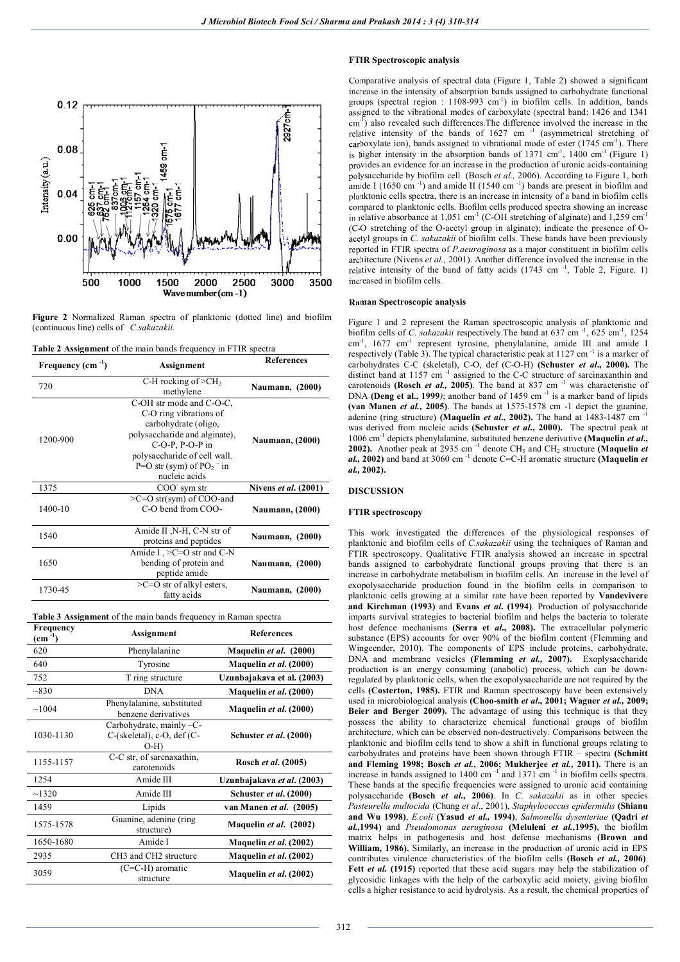

**Figure 2** Normalized Raman spectra of planktonic (dotted line) and biofilm (continuous line) cells of *C.sakazakii.*

| <b>Table 2 Assignment</b> of the main bands frequency in FTIR spectra |  |  |
|-----------------------------------------------------------------------|--|--|
|                                                                       |  |  |

| Frequency $(cm-1)$ | Assignment                                                                                                                                                                                                                       | <b>References</b>      |
|--------------------|----------------------------------------------------------------------------------------------------------------------------------------------------------------------------------------------------------------------------------|------------------------|
| 720                | C-H rocking of $>CH2$<br>methylene                                                                                                                                                                                               | <b>Naumann, (2000)</b> |
| 1200-900           | C-OH str mode and C-O-C,<br>C-O ring vibrations of<br>carbohydrate (oligo,<br>polysaccharide and alginate),<br>$C-O-P$ , $P-O-P$ in<br>polysaccharide of cell wall.<br>$P=O$ str (sym) of $PO2$ <sup>-</sup> in<br>nucleic acids | <b>Naumann, (2000)</b> |
| 1375               | $COO+$ sym str                                                                                                                                                                                                                   | Nivens et al. (2001)   |
| 1400-10            | $\geq$ C=O str(sym) of COO-and<br>C-O bend from COO-                                                                                                                                                                             | <b>Naumann, (2000)</b> |
| 1540               | Amide II , N-H, C-N str of<br>proteins and peptides                                                                                                                                                                              | <b>Naumann, (2000)</b> |
| 1650               | Amide I, $>$ C=O str and C-N<br>bending of protein and<br>peptide amide                                                                                                                                                          | <b>Naumann, (2000)</b> |
| 1730-45            | $\geq$ C=O str of alkyl esters,<br>fatty acids                                                                                                                                                                                   | <b>Naumann, (2000)</b> |

**Table 3 Assignment** of the main bands frequency in Raman spectra

| Frequency<br>$\text{(cm}^{-1})$ | <b>Assignment</b>                                                       | <b>References</b>          |
|---------------------------------|-------------------------------------------------------------------------|----------------------------|
| 620                             | Phenylalanine                                                           | Maquelin et al. (2000)     |
| 640                             | Tyrosine                                                                | Maquelin et al. (2000)     |
| 752                             | T ring structure                                                        | Uzunbajakava et al. (2003) |
| ~1830                           | <b>DNA</b>                                                              | Maquelin et al. (2000)     |
| ~1004                           | Phenylalanine, substituted<br>benzene derivatives                       | Maquelin et al. (2000)     |
| 1030-1130                       | Carbohydrate, mainly $-C$ -<br>$C$ -(skeletal), c-O, def $(C-$<br>$O-H$ | Schuster et al. (2000)     |
| 1155-1157                       | $\overline{C-C}$ str, of sarcnaxathin,<br>carotenoids                   | Rosch et al. (2005)        |
| 1254                            | Amide III                                                               | Uzunbajakava et al. (2003) |
| ~1320                           | Amide III                                                               | Schuster et al. (2000)     |
| 1459                            | Lipids                                                                  | van Manen et al. (2005)    |
| 1575-1578                       | Guanine, adenine (ring<br>structure)                                    | Maquelin et al. (2002)     |
| 1650-1680                       | Amide I                                                                 | Maquelin et al. (2002)     |
| 2935                            | CH <sub>3</sub> and CH <sub>2</sub> structure                           | Maquelin et al. (2002)     |
| 3059                            | $(C=C-H)$ aromatic<br>structure                                         | Maquelin et al. (2002)     |

# **FTIR Spectroscopic analysis**

Comparative analysis of spectral data (Figure 1, Table 2) showed a significant increase in the intensity of absorption bands assigned to carbohydrate functional groups (spectral region : 1108-993 cm<sup>-1</sup>) in biofilm cells. In addition, bands assigned to the vibrational modes of carboxylate (spectral band: 1426 and 1341 cm<sup>-1</sup>) also revealed such differences. The difference involved the increase in the relative intensity of the bands of  $1627 \text{ cm}^{-1}$  (asymmetrical stretching of carboxylate ion), bands assigned to vibrational mode of ester (1745 cm<sup>-1</sup>). There is higher intensity in the absorption bands of  $1371 \text{ cm}^{-1}$ ,  $1400 \text{ cm}^{-1}$  (Figure 1) provides an evidence for an increase in the production of uronic acids-containing polysaccharide by biofilm cell (Bosch *et al.,* 2006). According to Figure 1, both amide I (1650 cm $^{-1}$ ) and amide II (1540 cm $^{-1}$ ) bands are present in biofilm and planktonic cells spectra, there is an increase in intensity of a band in biofilm cells compared to planktonic cells. Biofilm cells produced spectra showing an increase in relative absorbance at  $1,051$  cm<sup>-1</sup> (C-OH stretching of alginate) and  $1,259$  cm<sup>-1</sup> (C-O stretching of the O-acetyl group in alginate); indicate the presence of Oacetyl groups in *C. sakazakii* of biofilm cells. These bands have been previously reported in FTIR spectra of *P.aeuroginosa* as a major constituent in biofilm cells architecture (Nivens *et al.,* 2001). Another difference involved the increase in the relative intensity of the band of fatty acids  $(1743 \text{ cm}^{-1}, 7 \text{able } 2, \text{ Figure} 1)$ increased in biofilm cells.

# **Raman Spectroscopic analysis**

Figure 1 and 2 represent the Raman spectroscopic analysis of planktonic and biofilm cells of *C. sakazakii* respectively. The band at 637 cm<sup>-1</sup>, 625 cm<sup>-1</sup>, 1254 cm<sup>-1</sup>, 1677 cm<sup>-1</sup> represent tyrosine, phenylalanine, amide III and amide I respectively (Table 3). The typical characteristic peak at  $1127 \text{ cm}^{-1}$  is a marker of carbohydrates C-C (skeletal), C-O, def (C-O-H) **(Schuster** *et al***., 2000).** The distinct band at 1157 cm $^{-1}$  assigned to the C-C structure of sarcinaxanthin and carotenoids **(Rosch** *et al.,* **2005)**. The band at 837 cm -1 was characteristic of DNA **(Deng et al., 1999**); another band of 1459 cm<sup>-1</sup> is a marker band of lipids **(van Manen** *et al.,* **2005)**. The bands at 1575-1578 cm -1 depict the guanine, adenine (ring structure) **(Maquelin** *et al.***, 2002).** The band at  $1483-1487$  cm  $^{-1}$ was derived from nucleic acids **(Schuster** *et al***., 2000).** The spectral peak at 1006 cm-1 depicts phenylalanine, substituted benzene derivative **(Maquelin** *et al***.,**  2002). Another peak at 2935 cm<sup>-1</sup> denote CH<sub>3</sub> and CH<sub>2</sub> structure **(Maquelin** *et al.,* **2002)** and band at 3060 cm -1 denote C=C-H aromatic structure **(Maquelin** *et al.,* **2002).**

## **DISCUSSION**

### **FTIR spectroscopy**

This work investigated the differences of the physiological responses of planktonic and biofilm cells of *C.sakazakii* using the techniques of Raman and FTIR spectroscopy. Qualitative FTIR analysis showed an increase in spectral bands assigned to carbohydrate functional groups proving that there is an increase in carbohydrate metabolism in biofilm cells. An increase in the level of exopolysaccharide production found in the biofilm cells in comparison to planktonic cells growing at a similar rate have been reported by **Vandevivere and Kirchman (1993)** and **Evans** *et al***. (1994)**. Production of polysaccharide imparts survival strategies to bacterial biofilm and helps the bacteria to tolerate host defence mechanisms **(Serra et** *al***., 2008).** The extracellular polymeric substance (EPS) accounts for over 90% of the biofilm content (Flemming and Wingeender, 2010). The components of EPS include proteins, carbohydrate, DNA and membrane vesicles **(Flemming** *et al.,* **2007).** Exoplysaccharide production is an energy consuming (anabolic) process, which can be downregulated by planktonic cells, when the exopolysaccharide are not required by the cells **(Costerton, 1985).** FTIR and Raman spectroscopy have been extensively used in microbiological analysis **(Choo-smith** *et al***., 2001; Wagner** *et al.,* **2009; Beier and Berger 2009).** The advantage of using this technique is that they possess the ability to characterize chemical functional groups of biofilm architecture, which can be observed non-destructively. Comparisons between the planktonic and biofilm cells tend to show a shift in functional groups relating to carbohydrates and proteins have been shown through FTIR – spectra **(Schmitt and Fleming 1998; Bosch** *et al.,* **2006; Mukherjee** *et al.,* **2011).** There is an increase in bands assigned to  $1400 \text{ cm}^{-1}$  and  $1371 \text{ cm}^{-1}$  in biofilm cells spectra. These bands at the specific frequencies were assigned to uronic acid containing polysaccharide **(Bosch** *et al.,* **2006)**. In *C. sakazakii* as in other species *Pasteurella multocida* (Chung *et al*., 2001), *Staphylococcus epidermidis* **(Shianu and Wu 1998)**, *E.coli* **(Yasud** *et al.,* **1994)**, *Salmonella dysenteriae* **(Qadri** *et al.,***1994)** and *Pseudomonas aeruginosa* **(Meluleni** *et al.,***1995)**, the biofilm matrix helps in pathogenesis and host defense mechanisms **(Brown and William, 1986).** Similarly, an increase in the production of uronic acid in EPS contributes virulence characteristics of the biofilm cells **(Bosch** *et al.,* **2006)**. **Fett** *et al.* **(1915)** reported that these acid sugars may help the stabilization of glycosidic linkages with the help of the carboxylic acid moiety, giving biofilm cells a higher resistance to acid hydrolysis. As a result, the chemical properties of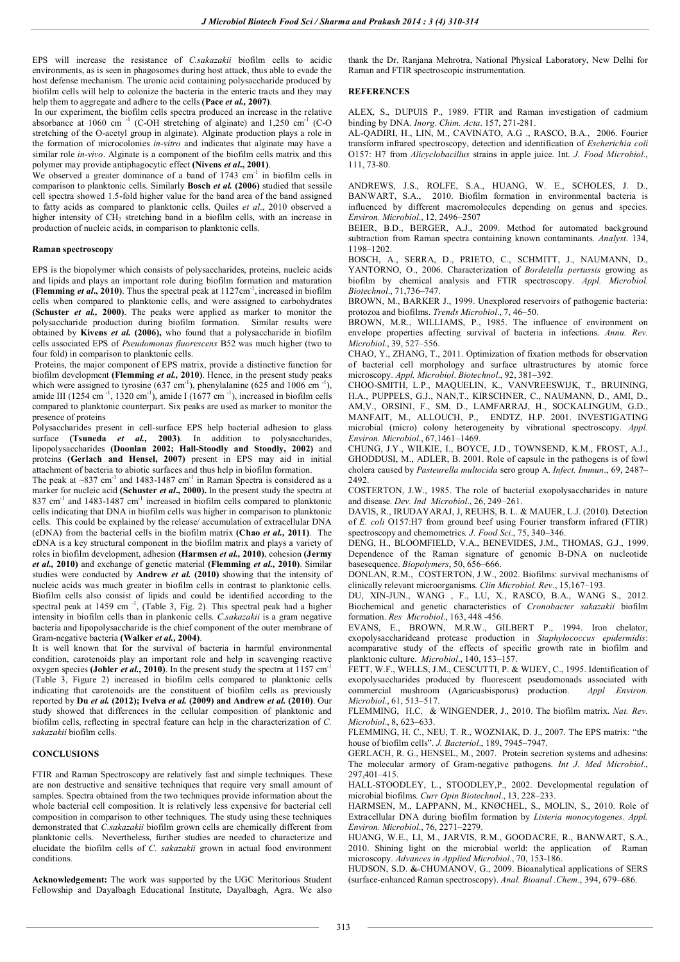EPS will increase the resistance of *C.sakazakii* biofilm cells to acidic environments, as is seen in phagosomes during host attack, thus able to evade the host defense mechanism. The uronic acid containing polysaccharide produced by biofilm cells will help to colonize the bacteria in the enteric tracts and they may help them to aggregate and adhere to the cells **(Pace** *et al.,* **2007)**.

In our experiment, the biofilm cells spectra produced an increase in the relative absorbance at 1060 cm<sup>-1</sup> (C-OH stretching of alginate) and 1,250 cm<sup>-1</sup> (C-O stretching of the O-acetyl group in alginate). Alginate production plays a role in the formation of microcolonies *in-vitro* and indicates that alginate may have a similar role *in-vivo*. Alginate is a component of the biofilm cells matrix and this polymer may provide antiphagocytic effect **(Nivens** *et al***., 2001)**.

We observed a greater dominance of a band of 1743 cm<sup>-1</sup> in biofilm cells in comparison to planktonic cells. Similarly **Bosch** *et al.* **(2006)** studied that sessile cell spectra showed 1.5-fold higher value for the band area of the band assigned to fatty acids as compared to planktonic cells. Quiles *et al*., 2010 observed a higher intensity of CH<sub>2</sub> stretching band in a biofilm cells, with an increase in production of nucleic acids, in comparison to planktonic cells.

### **Raman spectroscopy**

EPS is the biopolymer which consists of polysaccharides, proteins, nucleic acids and lipids and plays an important role during biofilm formation and maturation **(Flemming** *et al.***, 2010**). Thus the spectral peak at  $1127 \text{cm}^{-1}$ , increased in biofilm cells when compared to planktonic cells, and were assigned to carbohydrates **(Schuster** *et al.,* **2000)**. The peaks were applied as marker to monitor the polysaccharide production during biofilm formation. Similar results were obtained by **Kivens** *et al.* **(2006),** who found that a polysaccharide in biofilm cells associated EPS of *Pseudomonas fluorescens* B52 was much higher (two to four fold) in comparison to planktonic cells.

Proteins, the major component of EPS matrix, provide a distinctive function for biofilm development **(Flemming** *et al.,* **2010)**. Hence, in the present study peaks which were assigned to tyrosine  $(637 \text{ cm}^{-1})$ , phenylalanine  $(625 \text{ and } 1006 \text{ cm}^{-1})$ , amide III ( $1254 \text{ cm}^{-1}$ ,  $1320 \text{ cm}^{-1}$ ), amide I ( $1677 \text{ cm}^{-1}$ ), increased in biofilm cells compared to planktonic counterpart. Six peaks are used as marker to monitor the presence of proteins

Polysaccharides present in cell-surface EPS help bacterial adhesion to glass surface **(Tsuneda** *et al.,* **2003)**. In addition to polysaccharides, lipopolysaccharides **(Doonlan 2002; Hall-Stoodly and Stoodly, 2002)** and proteins **(Gerlach and Hensel, 2007)** present in EPS may aid in initial attachment of bacteria to abiotic surfaces and thus help in biofilm formation.

The peak at  $\sim 837$  cm<sup>-1</sup> and 1483-1487 cm<sup>-1</sup> in Raman Spectra is considered as a marker for nucleic acid **(Schuster** *et al***., 2000).** In the present study the spectra at 837 cm<sup>-1</sup> and 1483-1487 cm<sup>-1</sup> increased in biofilm cells compared to planktonic cells indicating that DNA in biofilm cells was higher in comparison to planktonic cells. This could be explained by the release/ accumulation of extracellular DNA (eDNA) from the bacterial cells in the biofilm matrix **(Chao** *et al.,* **2011)**. The eDNA is a key structural component in the biofilm matrix and plays a variety of roles in biofilm development, adhesion **(Harmsen** *et al.,* **2010)**, cohesion **(Jermy**  *et al.,* **2010)** and exchange of genetic material **(Flemming** *et al.,* **2010)**. Similar studies were conducted by **Andrew** *et al.* **(2010)** showing that the intensity of nucleic acids was much greater in biofilm cells in contrast to planktonic cells. Biofilm cells also consist of lipids and could be identified according to the spectral peak at 1459 cm<sup>-1</sup>, (Table 3, Fig. 2). This spectral peak had a higher intensity in biofilm cells than in plankonic cells*. C.sakazakii* is a gram negative bacteria and lipopolysaccharide is the chief component of the outer membrane of Gram-negative bacteria **(Walker** *et al.,* **2004)**.

It is well known that for the survival of bacteria in harmful environmental condition, carotenoids play an important role and help in scavenging reactive oxygen species (Johler *et al.*, 2010). In the present study the spectra at  $1157 \text{ cm}^{-1}$ (Table 3, Figure 2) increased in biofilm cells compared to planktonic cells indicating that carotenoids are the constituent of biofilm cells as previously reported by **Du** *et al.* **(2012); Ivelva** *et al.* **(2009) and Andrew** *et al.* **(2010)**. Our study showed that differences in the cellular composition of planktonic and biofilm cells, reflecting in spectral feature can help in the characterization of *C. sakazakii* biofilm cells.

# **CONCLUSIONS**

FTIR and Raman Spectroscopy are relatively fast and simple techniques. These are non destructive and sensitive techniques that require very small amount of samples. Spectra obtained from the two techniques provide information about the whole bacterial cell composition. It is relatively less expensive for bacterial cell composition in comparison to other techniques. The study using these techniques demonstrated that *C.sakazakii* biofilm grown cells are chemically different from planktonic cells. Nevertheless, further studies are needed to characterize and elucidate the biofilm cells of *C. sakazakii* grown in actual food environment conditions.

**Acknowledgement:** The work was supported by the UGC Meritorious Student Fellowship and Dayalbagh Educational Institute, Dayalbagh, Agra. We also thank the Dr. Ranjana Mehrotra, National Physical Laboratory, New Delhi for Raman and FTIR spectroscopic instrumentation.

# **REFERENCES**

ALEX, S., DUPUIS P., 1989. FTIR and Raman investigation of cadmium binding by DNA. *Inorg. Chim. Acta*. 157, 271-281.

AL-QADIRI, H., LIN, M., CAVINATO, A.G ., RASCO, B.A., 2006. Fourier transform infrared spectroscopy, detection and identification of *Escherichia coli*  O157: H7 from *Alicyclobacillus* strains in apple juice. Int. *J. Food Microbiol*., 111, 73-80.

ANDREWS, J.S., ROLFE, S.A., HUANG, W. E., SCHOLES, J. D., BANWART, S.A., 2010. Biofilm formation in environmental bacteria is influenced by different macromolecules depending on genus and species. *Environ. Microbiol*., 12, 2496–2507

BEIER, B.D., BERGER, A.J., 2009. Method for automated background subtraction from Raman spectra containing known contaminants. *Analyst*. 134, 1198–1202.

BOSCH, A., SERRA, D., PRIETO, C., SCHMITT, J., NAUMANN, D., YANTORNO, O., 2006. Characterization of *Bordetella pertussis* growing as biofilm by chemical analysis and FTIR spectroscopy. *Appl. Microbiol. Biotechnol*., 71,736–747.

BROWN, M., BARKER J., 1999. Unexplored reservoirs of pathogenic bacteria: protozoa and biofilms. *Trends Microbiol*., 7, 46–50.

BROWN, M.R., WILLIAMS, P., 1985. The influence of environment on envelope properties affecting survival of bacteria in infections. Annu. Rev. *Microbiol*., 39, 527–556.

CHAO, Y., ZHANG, T., 2011. Optimization of fixation methods for observation of bacterial cell morphology and surface ultrastructures by atomic force microscopy. *Appl. Microbiol*. *Biotechnol*., 92, 381–392.

CHOO-SMITH, L.P., MAQUELIN, K., VANVREESWIJK, T., BRUINING, H.A., PUPPELS, G.J., NAN,T., KIRSCHNER, C., NAUMANN, D., AMI, D., AM,V., ORSINI, F., SM, D., LAMFARRAJ, H., SOCKALINGUM, G.D., MANFAIT, M., ALLOUCH, P., ENDTZ, H.P. 2001. INVESTIGATING microbial (micro) colony heterogeneity by vibrational spectroscopy. *Appl. Environ. Microbiol*., 67,1461–1469.

CHUNG, J.Y., WILKIE, I., BOYCE, J.D., TOWNSEND, K.M., FROST, A.J., GHODDUSI, M., ADLER, B. 2001. Role of capsule in the pathogens is of fowl cholera caused by *Pasteurella multocida* sero group A. *Infect. Immun*., 69, 2487– 2492.

COSTERTON, J.W., 1985. The role of bacterial exopolysaccharides in nature and disease. *Dev. Ind Microbiol*., 26, 249–261.

DAVIS, R., IRUDAYARAJ, J, REUHS, B. L. & MAUER, L.J. (2010). Detection of *E. coli* O157:H7 from ground beef using Fourier transform infrared (FTIR) spectroscopy and chemometrics*. J. Food Sci*., 75, 340–346.

DENG, H., BLOOMFIELD, V.A., BENEVIDES, J.M., THOMAS, G.J., 1999. Dependence of the Raman signature of genomic B-DNA on nucleotide basesequence. *Biopolymers*, 50, 656–666.

DONLAN, R.M., COSTERTON, J.W., 2002. Biofilms: survival mechanisms of clinically relevant microorganisms. *Clin Microbiol. Rev*., 15,167–193.

DU, XIN-JUN., WANG , F., LU, X., RASCO, B.A., WANG S., 2012. Biochemical and genetic characteristics of *Cronobacter sakazakii* biofilm formation. *Res Microbiol*., 163, 448 -456.

EVANS, E., BROWN, M.R.W., GILBERT P., 1994. Iron chelator, exopolysaccharideand protease production in *Staphylococcus epidermidis*: acomparative study of the effects of specific growth rate in biofilm and planktonic culture. *Microbiol*., 140, 153–157.

FETT, W.F., WELLS, J.M., CESCUTTI, P. & WIJEY, C., 1995. Identification of exopolysaccharides produced by fluorescent pseudomonads associated with commercial mushroom (Agaricusbisporus) production. *Appl .Environ. Microbiol*., 61, 513–517.

FLEMMING, H.C. & WINGENDER, J., 2010. The biofilm matrix. *Nat. Rev. Microbiol*., 8, 623–633.

FLEMMING, H. C., NEU, T. R., WOZNIAK, D. J., 2007. The EPS matrix: "the house of biofilm cells". *J. Bacteriol*., 189, 7945–7947.

GERLACH, R. G., HENSEL, M., 2007. Protein secretion systems and adhesins: The molecular armory of Gram-negative pathogens. *Int J. Med Microbiol*., 297,401–415.

HALL-STOODLEY, L., STOODLEY,P., 2002. Developmental regulation of microbial biofilms. *Curr Opin Biotechnol*., 13, 228–233.

HARMSEN, M., LAPPANN, M., KNØCHEL, S., MOLIN, S., 2010. Role of Extracellular DNA during biofilm formation by *Listeria monocytogenes*. *Appl. Environ. Microbiol*., 76, 2271–2279.

HUANG, W.E., LI, M., JARVIS, R.M., GOODACRE, R., BANWART, S.A., 2010. Shining light on the microbial world: the application of Raman microscopy. *Advances in Applied Microbiol*., 70, 153-186.

HUDSON, S.D. & CHUMANOV, G., 2009. Bioanalytical applications of SERS (surface-enhanced Raman spectroscopy). *Anal. Bioanal .Chem*., 394, 679–686.